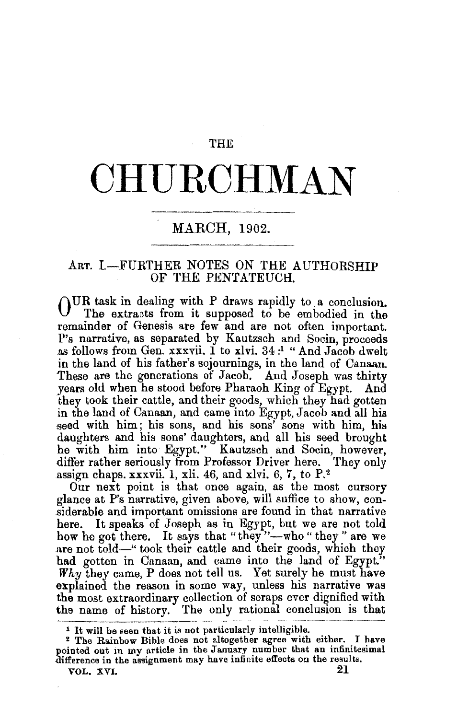#### **THE**

# **OHU.ROHMAN**

## MARCH, 1902.

#### ART. I.-FURTHER NOTES ON THE AUTHORSHIP OF THE PENTATEUCH.

OUR task in dealing with P draws rapidly to a conclusion. The extraats from it supposed to be embodied in the remainder of Genesis are few and are not often important. P's narrative, as separated by Kautzsch and Socin, proceeds as follows from Gen. xxxvii. 1 to xlvi. 34 : 1 "And Jacob dwelt in the land of his father's sojournings, in the land of Canaan. 'These are the generations of Jacob. And Joseph was thirty years old when he stood before Pharaoh King of Egypt. And they took their cattle, and their goods, which they had gotten in the land of Canaan, and came into Egypt, Jacob and all his geed with him; his sons, and his sons' sons with him, his daughters and his sons' daughters, and all his seed brought he with him into Egypt." Kautzsch and Socin, however, differ rather seriously from Professor Driver here. They only assign chaps. xxxvii. 1, xli. 46, and xlvi. 6, 7, to  $P^2$ .

Our next point is that once again, as the most cursory glance at P's narrative, given above, will suffice to show, considerable and important omissions are found in that narrative here. It speaks of Joseph as in Egypt, but we are not told how he got there. It says that "they"--who "they" are we are not told-'' took their cattle and their goods, which they had gotten in Canaan, and came into the land of Egypt." *Why* they came, P does not tell us. Yet surely he must have explained the reason in some way, unless his narrative was the most extraordinary collection of scraps ever dignified with the name of history. The only rational conclusion is that

l It will be seen that it is not particularly intelligible. *:* The Rainbow Bible does not altogether agree with either. I have pointed out in my article in the January number that an infinitesimal difference in the assignment may have infinite effects on the results.<br> $\frac{1}{2}$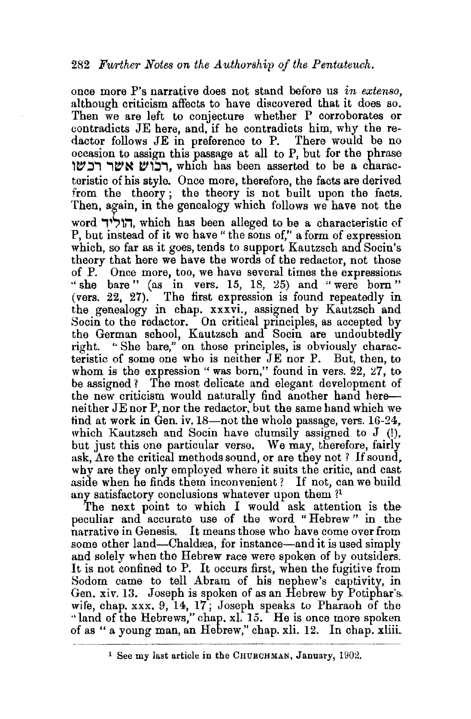once more P's narrative does not stand before us *in extenso,*  although criticism affects to have discovered that it does so. Then we are left to conjecture whether P corroborates or contradicts JE here, and, if he contradicts him, why the redactor follows JE in preference to P. There would be no occasion to assign this passage at all to P, but for the phrase רבוש אשר רכשו, which has been asserted to be a characteristic of his style. Once more, therefore, the facts are derived from the theory ; the theory is not built upon the facts. Then, again, in the genealogy which follows we have not the word הוליד, which has been alleged to be a characteristic of P, but instead of it we have" the sons of," a form of expression which, so far as it goes, tends to support Kautzsch and Socin's theory that here we have the words of the redactor, not those of P. Once more, too, we have several times the expressions "she bare" (as in vers. 15, 18, 25) and "were born" (vers.  $22$ ,  $27$ ). The first expression is found repeatedly in the genealogy in chap. xxxvi., assigned by Kautzsch and Socin to the redactor. On critical principles, as accepted by the German school, Kautzsch and Socin are undoubtedly right. " She bare," on those principles, is obviously characteristic of some one who is neither JE nor P. But, then, to whom is the expression "was born," found in vers.  $22$ ,  $27$ , to be assigned *1* The most delicate and elegant development of the new criticism would naturally find another hand hereneither JE nor P, nor the redactor, but the same hand which we find at work in Gen. iv.  $18$ —not the whole passage, vers.  $16-24$ , which Kautzsch and Socin have clumsily assigned to J (!), but just this one particular verse. We may, therefore, fairly ask, Are the critical methods sound, or are they not ? If sound, why are they only employed where it suits the critic, and cast aside when he finds them inconvenient? If not, can we build any satisfactory conclusions whatever upon them ?<sup>1</sup>

The next point to which I would ask attention is the peculiar and accurate use of the word "Hebrew " in the narrative in Genesis. It means those who have come over from some other land—Chaldrea, for instance—and it is used simply and solely when the Hebrew race were spoken of by outsiders. It is not confined to P. It occurs first, when the fugitive from Sodom came to tell Abram of his nephew's captivity, in Gen. xiv. 13. Joseph is spoken of as an Hebrew by Potiphar's, wife, chap. xxx. 9, 14, 17; Joseph speaks to Pharaoh of the ·• land of the Hebrews," chap. xl. 15. He is once more spoken of as "a young man, an Hebrew," chap. xli. 12. In chap. xliii.

-~··-~··-----~----

l See my last article in the CHURCHMAN, January, 1902.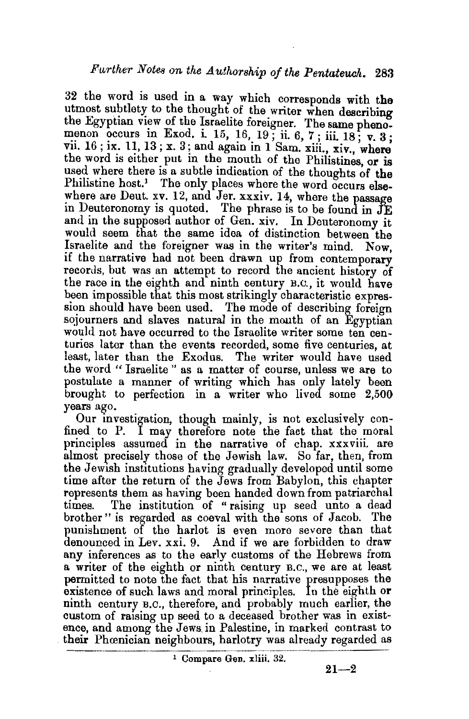32 the word is used in a way which corresponds with the utmost subtlety to the thought of the writer when describing the Egyptian view of the Israelite foreigner. The same phenomenon occurs in Exod. i. 15, 16, 19; ii. 6, 7; iii. 18; v. 3; vii. 16; ix. 11, 13; x. 3; and again in 1 Sam. ziii., xiv., where the word is either put in the mouth of the Philistines, or is used where there is a subtle indication of the thoughts of the Philistine host.<sup>1</sup> The only places where the word occurs elsewhere are Deut.  $xv. 12$ , and Jer. xxxiv. 14, where the passage in Deuteronomy is quoted. The phrase is to be found in  $JE$ and in the supposed author of Gen. xiv. In Deuteronomy it would seem that the same idea of distinction between the Israelite and the foreigner was in the writer's mind. Now, if the narrative had not been drawn up from contemporary records, but was an attempt to record the ancient history of the race in the eighth and ninth century B.C., it would have been impossible that this most strikingly characteristic expression should have been used. The mode of describing foreign sojourners and slaves natural in the mouth of an Egyptian would not have occurred to the Israelite writer some ten centuries later than the events recorded, some five centuries, at least, later than the Exodus. The writer would have used the word " Israelite " as a matter of course, unless we are to postulate a manner of writing which has only lately been brought to perfection in a writer who lived some 2,500 years ago.

Our investigation, though mainly, is not exclusively confined to P. I may therefore note the fact that the moral principles assumed in the narrative of chap. xxxviii. are almost precisely those of the Jewish law. So far, then, from the Jewish institutions having gradually developed until some time after the return of the Jews from Babylon, this chapter represents them as having been handed down from patriarchal times. The institution of "raising up seed unto a dead brother " is regarded as coeval with the sons of Jacob. The punishment of the harlot is even more severe than that denounced in Lev. xxi. 9. And if we are forbidden to draw any inferences as to the early customs of the Hebrews from a writer of the eighth or ninth century B.c., we are at least permitted to note the fact that his narrative presupposes the existence of such laws and moral principles. In the eighth or ninth century B.c., therefore, and probably much earlier, the custom of raising up seed to a deceased brother was in existence, and among the Jews. in Palestine, in marked contrast to their Phoenician neighbours, harlotry was already regarded as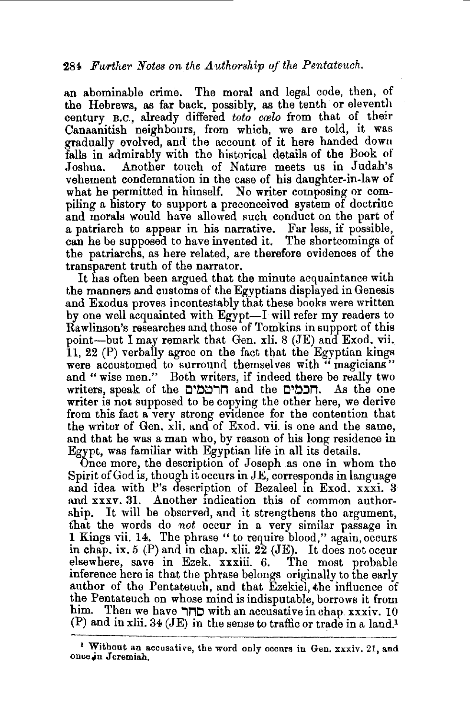an abominable crime. The moral and legal code, then, of the Hebrews, as far back, possibly, as the tenth or eleventh century B.C., already differed *toto coelo* from that of their Canaanitish neighbours, from which, we are told, it was gradually evolved, and the account of it here handed dowu falls in admirably with the historical details of the Book of Joshua. Another touch of Nature meets us in Judah's vehement condemnation in the case of his daughter-in-law of what he permitted in himself. No writer composing or compiling a history to support a preconceived system of doctrine and morals would have allowed such conduct on the part of a patriarch to appear in his narrative. Far less, if possible, can he be supposed to have invented it. The shortcomings of the patriarchs, as here related, are therefore evidences of the transparent truth of the narrator.

It has often been argued that the minute acquaintance with the manners and customs of the Egyptians displayed in Genesis and Exodus proves incontestably that these books were written by one well acquainted with Egypt-I will refer my readers to Rawlinson's researches and those of Tomkins in support of this point-but I may remark that Gen. xli. 8 (JE) and Exod. vii. 11, 22 (P) verbally agree on the fact that the Egyptian kings were accustomed to surround themselves with " magicians" and "wise men." Both writers, if indeed there be really two writers, speak of the **הרממים** and the **הכמים.** As the one writer is not supposed to be copying the other here, we derive from this fact a very strong evidence for the contention that the writer of Gen. xli. and of Exod. vii. is one and the same, and that he was a man who, by reason of his long residence in Egypt, was familiar with Egyptian life in all its details.

Once more, the description of Joseph as one in whom the Spirit of God is, though it occurs in JE, corresponds in language and idea with P's description of Bezaleel in Exod. xxxi. 3 and xxxv. 31. Another mdication this of common authorship. It will be observed, and it strengthens the argument, that the words do not occur in a very similar passage in 1 Kings vii. 14. The phrase "to require blood," again, occurs in chap. ix,  $5$  (P) and in chap. xlii.  $22$  (JE). It does not occur elsewhere, save in Ezek. xxxiii. 6. The most probable inference here is that the phrase belongs originally to the early author of the Pentateuch, and that Ezekiel, the influence of the Pentateuch on whose mind is indisputable, borrows it from btm. Then we have **'1MO** with an accusative in chap xxxiv. 10  $(P)$  and in xlii. 34 (JE) in the sense to traffic or trade in a land.<sup>1</sup>

<sup>&</sup>lt;sup>1</sup> Without an accusative, the word only occurs in Gen. xxxiv. 21, and once.jn Jeremiah.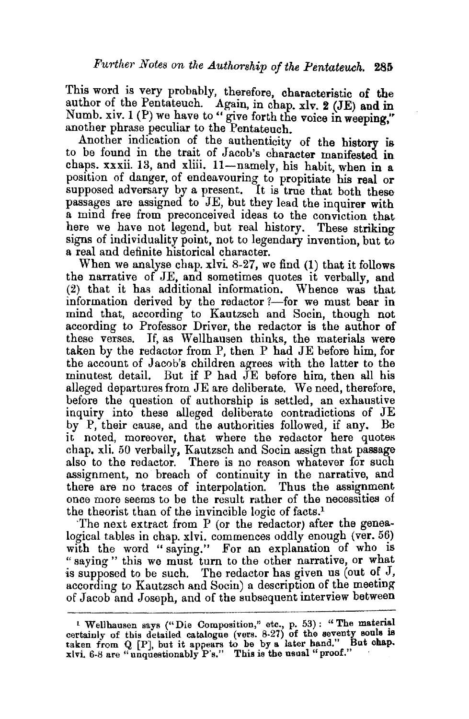This word is very probably, therefore, characteristic of the author of the Pentateuch. Again, in chap. xlv. 2 (JE) and in Numb. xiv.  $1(P)$  we have to " give forth the voice in weeping," another phrase peculiar to the Pentateuch. •

Another indication of the authenticity of the history is to be found in the trait of Jacob's character manifested in chaps. xxxii. 13, and xliii. 11-namely, his habit, when in a position of danger, of endeavouring to propitiate his real or supposed adversary by a present. It is true that both these passages are assigned to JE, but they lead the inquirer with a mind free from preconceived ideas to the conviction that here we have not legend, but real history. These striking signs of individuality point, not to legendary invention, but to a real and definite historical character.

When we analyse chap. xlvi 8-27, we find (1) that it follows the narrative of JE, and sometimes quotes it verbally, and (2) that it has additional information. Whence was that information derived by the redactor  $?$ —for we must bear in mind that, according to Kautzsch and Socin, though not according to Professor Driver, the redactor is the author of these verses. If, as Wellhausen thinks, the materials were taken by the redactor from P, then P had JE before him, for the account of Jacob's children agrees with the latter to the minutest detail. But if P had JE before him, then all his alleged departures from JE are deliberate. We need, therefore, before the question of authorship is settled, an exhaustive inquiry into these alleged deliberate contradictions of JE by P, their cause, and the authorities followed, if any. Be it noted, moreover, that where the redactor here quotes chap. xli. 50 verbally, Kautzsch and Socin assign that passage also to the redactor. There is no reason whatever for such assignment, no breach of continuity in the narrative, and there are no traces of interpolation. Thus the assignment once more seems to be the result rather of the necessities of the theorist than of the invincible logic of facts.1

The next extract from  $P$  (or the redactor) after the genealogical tables in chap.  $x|v$ , commences oddly enough (ver. 56) with the word "saying." For an explanation of who is " saying" this we must turn to the other narrative, or what is supposed to be such. The redactor has given us (out of  $J$ , according to Kautzsch and Socin) a description of the meeting of Jacob and Joseph, and of the subsequent interview between

<sup>&</sup>lt;sup>1</sup> Wellhausen says ("Die Composition," etc., p. 53): "The material certainly of this detailed catalogue (vers.  $8-27$ ) of the seventy souls is taken from Q [P], but it appears to be by a later hand." But chap. xlvi. 6-8 are "unquestionably  $P$ 's." This is the usual "proof."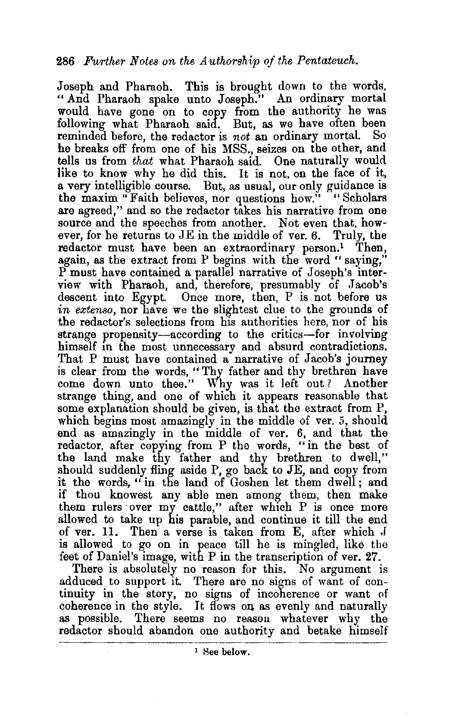Joseph and Pharaoh. This is brought down to the words, "And Pharaoh spake unto Joseph." An ordinary mortal would have gone on to copy from the authority he was following what Pharaoh said. But, as we have often been reminded before, the redactor is *not* an ordinary mortal. So he breaks oft' from one of his MSS., seizes on the other, and tells us from *that* what Pharaoh said. One naturally would like to know why he did this. It is not, on the face of it, a very intelligible course. But, as usual, our only guidance is the maxim "Faith believes, nor questions how." "Scholars are agreed," and so the redactor takes his narrative from one source and the speeches from another. Not even that, however, for he returns to JE in the middle of ver. 6. Truly, the redactor must have been an extraordinary person.<sup>1</sup> Then, again, as the extract from P begins with the word " saying," P must have contained a parallel narrative of Joseph's interview with Pharaoh, and, therefore, presumably of Jacob's descent into Egypt. Once more, then, P is not before us *in extenso*, nor have we the slightest clue to the grounds of the redactor's selections from his authorities here, nor of his strange propensity-according to the critics-for involving himself in the most unnecessary and absurd contradictions. That P must have contained a narrative of Jacob's journey is clear from the words, "Thy father and thy brethren have come down unto thee." Why was it left out? Another strange thing, and one of which it appears reasonable that some explanation should be given, is that the extract from P, which begins most amazingly in the middle of ver. 5, should end as amazingly in the middle of ver. 6, and that the redactor, after copying from P the words, "in the best of the land make thy father and thy brethren to dwell," should suddenly fling aside P, go back to JE, and copy from it the words," in the land of Goshen let them dwell; and if thou knowest any able men among them, then make them rulers ·over my cattle," after which P is once more allowed to take up his parable, and continue it till the end of ver. 11. Then a verse is taken from E, after which  $J$ is allowed to go on in peace till he is mingled, like tbe feet of Daniel's image, with P in the transcription of ver. 27.

There is absolutely no reason for this. No argument is adduced to support it. There are no signs of want of continuity in the story, no signs of incoherence or want of coherence in the style. It flows on as evenly and naturally as possible. There seems no reason whatever why the redactor should abandon one authority and betake himself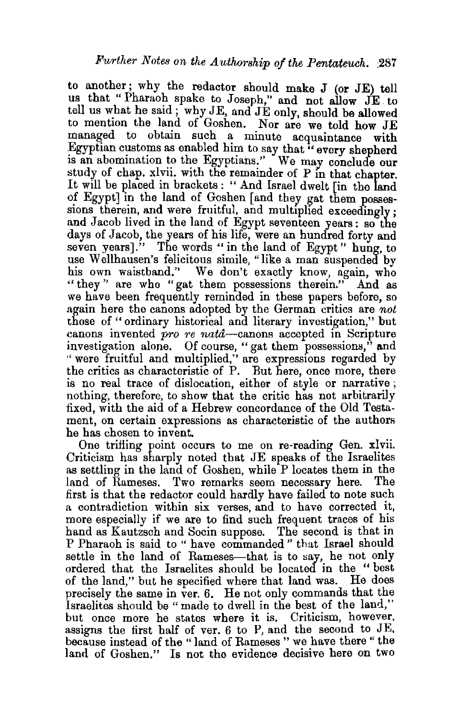to another; why the redactor should make J (or JE) tell us that "Pharaoh spake to Joseph," and not allow JE to tell us what he satd; why JE, and JE only should be allowed to mention the land of Goshen. Nor are we told how JE managed to obtain such a minute acquaintance with Egyptian customs as enabled him to say that "every shepherd is an abomination to the Egyptians." We may conclude our study of chap. xlvii. with the remainder of P in that chapter. It will be placed in brackets : " And Israel dwelt [in the land of Egypt] in the land of Goshen [and they gat them possessions therein, and were fruitful, and multiplied exceedingly; and Jacob lived in the land of Egypt seventeen years; so the days of Jacob, the years of his life, were an hundred forty and seven years]." The words " in the land of Egypt" hung, to use Wellhausen's felicitous simile, "like a man suspended by his own waistband.'' We don't exactly know, again, who "they" are who "gat them possessions therein." And as we have been frequently reminded in these papers before, so again here the canons adopted by the German critics are *not*  those of "ordinary historical and literary investigation," but canons invented *pro re nata-canons* accepted in Scripture investigation alone. Of course, "gat them possessions," and " were fruitful and multiplied," are expressions regarded by the critics as characteristic of P. But here, once more, there is no real trace of dislocation, either of style or narrative ; nothing, therefore, to show that the critic has not arbitrarily fixed, with the aid of a Hebrew concordance of the Old Testament, on certain expressions as characteristic of the authors he has chosen to invent.

One trifling point occurs to me on re-reading Gen. xlvii. Criticism has sharply noted that JE speaks of the Israelites as settling in the land of Goshen, while P locates them in the land of Rameses. Two remarks seem necessary here. The first is that the redactor could hardly have failed to note such a contradiction within six verses, and to have corrected it, more especially if we are to find such frequent traces of his hand as Kautzsch and Socin suppose. The second is that in P Pharaoh is said to " have commanded " that Israel should settle in the land of Rameses-that is to say, he not only ordered that the Israelites should be located in the "best of the land," but he specified where that land was. He does precisely the same in ver. 6. He not only commands that the Israelites should be "made to dwell in the best of the land," but once more he states where it is. Criticism, however, assigns the first half of ver. 6 to P, and the second to JE, because instead of the " land of Rameses " we have there " the land of Goshen." Is not the evidence decisive here on two